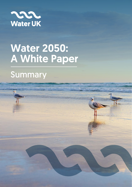

# Water 2050: A White Paper

## **Summary**

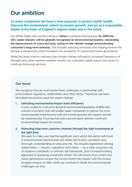### Our ambition

#### As water companies we have a clear purpose: to protect public health, improve the environment, unlock economic growth, and act as a responsible leader at the heart of England's regions today and in the future.

Our White Paper sets out the industry's Vision to achieve that purpose: by 2050 the UK's water industry will be globally recognised as environmental leaders, stewarding the improvement of rivers and seas, acting on the climate change and protecting consumer's long-term interests. This includes reducing emissions and helping reverse the decline in biodiversity which threatens the prosperity of current and future generations.

While the latest science indicates that climate change will lead to increased frequency of droughts and other extreme weather events, our customers rightly expect the sector to continue improving services.

#### Our focus:

We recognise that we must tackle these challenges in partnership with policymakers, regulators, stakeholders and other NGOs. Therefore, we have identified two priority areas for urgent change.

#### 1. Delivering environmental impact more efficiently:

A new model for Outcome-Based Environmental Regulation (OBER) that unlocks innovation that will enable water companies to deliver the most environmental improvement with the lowest possible bill impacts should be implemented. Ensuring that every pound spent delivers maximum environmental impact for money.

#### 2. Protecting long-term customer interests through the right investments at the right time:

We want to make sure that the significant sums which the sector will invest in environmental improvement are made with a joint, consistent, and thorough understanding of value and risk. This requires agreement among stakeholders — industry, regulators, and others — on a clear, long-term set of resilience standards, a common risk framework, and a forward-looking approach to assessing investment needs. This will ensure that current and future generations receive the service levels they expect with the lowest possible impacts on bills, whilst we continue to tackle the environmental challenges we face.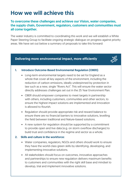## How we will achieve this

#### To overcome these challenges and achieve our Vision, water companies, the supply chain, Government, regulators, customers and communities must all come together.

The water industry is committed to coordinating this work and we will establish a White Paper Steering Group to facilitate ongoing strategic dialogue on progress against priority areas. We have set out below a summary of proposals to take this forward:

#### Delivering more environmental impact, more efficiently



#### 1. Introduce Outcome-Based Environmental Regulation (OBER):

- Long-term environmental targets need to be set for England as a whole that cover all key aspects of the environment, including the reduction of carbon emissions, ideally underpinned by protection in law such as a new, single "Rivers Act". This will ensure the water sector directly addresses challenges set out in the 25 Year Environment Plan.
- OBER should empower companies to meet targets in partnership with others, including customers, communities and other sectors, to ensure the highest impact solutions are implemented and innovation is allowed to flourish.
- Regulation should provide appropriate risk and reward balance to ensure there are no financial barriers to innovative solutions, levelling the field between traditional and Nature-based solutions.
- A new system for regulation should be supported by a commitment to provide open and live data (e.g. on storm overflow discharges) to build trust and confidence in the regime and sector as a whole.

#### 2. Skills and culture in the workforce:

- Water companies, regulators, NGOs and others should work to ensure they have the world-class green skills by identifying, developing, and implementing innovative solutions.
- All stakeholders should focus on outcomes, innovative approaches and partnerships to ensure new regulation delivers maximum benefits to customers and communities with the right skill base and mindset to develop, trial and implement innovative solutions.